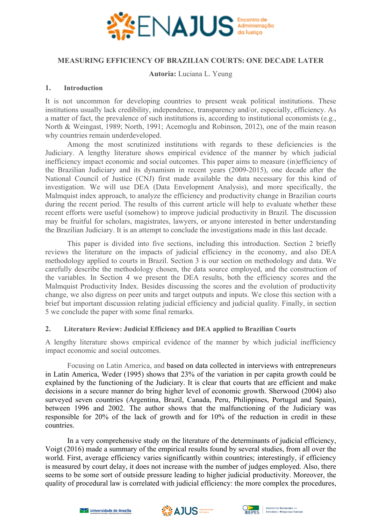

### **MEASURING EFFICIENCY OF BRAZILIAN COURTS: ONE DECADE LATER**

**Autoria:** Luciana L. Yeung

### **1. Introduction**

It is not uncommon for developing countries to present weak political institutions. These institutions usually lack credibility, independence, transparency and/or, especially, efficiency. As a matter of fact, the prevalence of such institutions is, according to institutional economists (e.g., North & Weingast, 1989; North, 1991; Acemoglu and Robinson, 2012), one of the main reason why countries remain underdeveloped.

Among the most scrutinized institutions with regards to these deficiencies is the Judiciary. A lengthy literature shows empirical evidence of the manner by which judicial inefficiency impact economic and social outcomes. This paper aims to measure (in)efficiency of the Brazilian Judiciary and its dynamism in recent years (2009-2015), one decade after the National Council of Justice (CNJ) first made available the data necessary for this kind of investigation. We will use DEA (Data Envelopment Analysis), and more specifically, the Malmquist index approach, to analyze the efficiency and productivity change in Brazilian courts during the recent period. The results of this current article will help to evaluate whether these recent efforts were useful (somehow) to improve judicial productivity in Brazil. The discussion may be fruitful for scholars, magistrates, lawyers, or anyone interested in better understanding the Brazilian Judiciary. It is an attempt to conclude the investigations made in this last decade.

This paper is divided into five sections, including this introduction. Section 2 briefly reviews the literature on the impacts of judicial efficiency in the economy, and also DEA methodology applied to courts in Brazil. Section 3 is our section on methodology and data. We carefully describe the methodology chosen, the data source employed, and the construction of the variables. In Section 4 we present the DEA results, both the efficiency scores and the Malmquist Productivity Index. Besides discussing the scores and the evolution of productivity change, we also digress on peer units and target outputs and inputs. We close this section with a brief but important discussion relating judicial efficiency and judicial quality. Finally, in section 5 we conclude the paper with some final remarks.

# **2. Literature Review: Judicial Efficiency and DEA applied to Brazilian Courts**

A lengthy literature shows empirical evidence of the manner by which judicial inefficiency impact economic and social outcomes.

Focusing on Latin America, and based on data collected in interviews with entrepreneurs in Latin America, Weder (1995) shows that 23% of the variation in per capita growth could be explained by the functioning of the Judiciary. It is clear that courts that are efficient and make decisions in a secure manner do bring higher level of economic growth. Sherwood (2004) also surveyed seven countries (Argentina, Brazil, Canada, Peru, Philippines, Portugal and Spain), between 1996 and 2002. The author shows that the malfunctioning of the Judiciary was responsible for 20% of the lack of growth and for 10% of the reduction in credit in these countries.

In a very comprehensive study on the literature of the determinants of judicial efficiency, Voigt (2016) made a summary of the empirical results found by several studies, from all over the world. First, average efficiency varies significantly within countries; interestingly, if efficiency is measured by court delay, it does not increase with the number of judges employed. Also, there seems to be some sort of outside pressure leading to higher judicial productivity. Moreover, the quality of procedural law is correlated with judicial efficiency: the more complex the procedures,



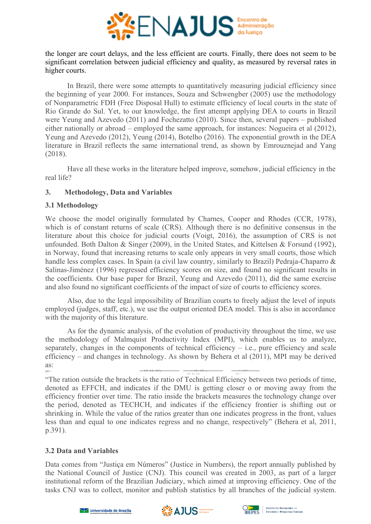

the longer are court delays, and the less efficient are courts. Finally, there does not seem to be significant correlation between judicial efficiency and quality, as measured by reversal rates in higher courts.

In Brazil, there were some attempts to quantitatively measuring judicial efficiency since the beginning of year 2000. For instances, Souza and Schwengber (2005) use the methodology of Nonparametric FDH (Free Disposal Hull) to estimate efficiency of local courts in the state of Rio Grande do Sul. Yet, to our knowledge, the first attempt applying DEA to courts in Brazil were Yeung and Azevedo (2011) and Fochezatto (2010). Since then, several papers – published either nationally or abroad – employed the same approach, for instances: Nogueira et al (2012), Yeung and Azevedo (2012), Yeung (2014), Botelho (2016). The exponential growth in the DEA literature in Brazil reflects the same international trend, as shown by Emrouznejad and Yang (2018).

Have all these works in the literature helped improve, somehow, judicial efficiency in the real life?

# **3. Methodology, Data and Variables**

# **3.1 Methodology**

We choose the model originally formulated by Charnes, Cooper and Rhodes (CCR, 1978), which is of constant returns of scale (CRS). Although there is no definitive consensus in the literature about this choice for judicial courts (Voigt, 2016), the assumption of CRS is not unfounded. Both Dalton & Singer (2009), in the United States, and Kittelsen & Forsund (1992), in Norway, found that increasing returns to scale only appears in very small courts, those which handle less complex cases. In Spain (a civil law country, similarly to Brazil) Pedraja-Chaparro & Salinas-Jiménez (1996) regressed efficiency scores on size, and found no significant results in the coefficients. Our base paper for Brazil, Yeung and Azevedo (2011), did the same exercise and also found no significant coefficients of the impact of size of courts to efficiency scores.

Also, due to the legal impossibility of Brazilian courts to freely adjust the level of inputs employed (judges, staff, etc.), we use the output oriented DEA model. This is also in accordance with the majority of this literature.

As for the dynamic analysis, of the evolution of productivity throughout the time, we use the methodology of Malmquist Productivity Index (MPI), which enables us to analyze, separately, changes in the components of technical efficiency – i.e., pure efficiency and scale efficiency – and changes in technology. As shown by Behera et al (2011), MPI may be derived as: MPI = +1( +1, +1) [ ( +1, +1) × ( , ) ] 1/2

The ration outside the brackets is the ratio of Technical Efficiency between two periods of time, denoted as EFFCH, and indicates if the DMU is getting closer o or moving away from the efficiency frontier over time. The ratio inside the brackets measures the technology change over the period, denoted as TECHCH, and indicates if the efficiency frontier is shifting out or shrinking in. While the value of the ratios greater than one indicates progress in the front, values less than and equal to one indicates regress and no change, respectively" (Behera et al, 2011, p.391).

# **3.2 Data and Variables**

Data comes from "Justiça em Números" (Justice in Numbers), the report annually published by the National Council of Justice (CNJ). This council was created in 2003, as part of a larger institutional reform of the Brazilian Judiciary, which aimed at improving efficiency. One of the tasks CNJ was to collect, monitor and publish statistics by all branches of the judicial system.





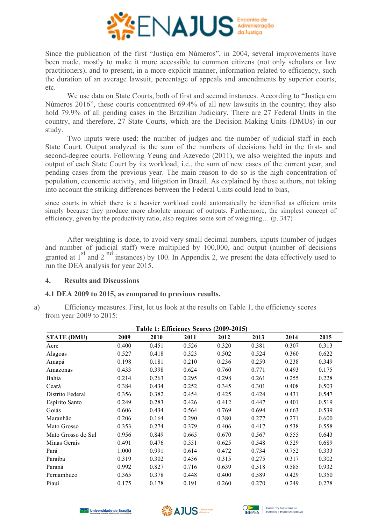

Since the publication of the first "Justiça em Números", in 2004, several improvements have been made, mostly to make it more accessible to common citizens (not only scholars or law practitioners), and to present, in a more explicit manner, information related to efficiency, such the duration of an average lawsuit, percentage of appeals and amendments by superior courts, etc.

We use data on State Courts, both of first and second instances. According to "Justica em Números 2016", these courts concentrated 69.4% of all new lawsuits in the country; they also hold 79.9% of all pending cases in the Brazilian Judiciary. There are 27 Federal Units in the country, and therefore, 27 State Courts, which are the Decision Making Units (DMUs) in our study.

Two inputs were used: the number of judges and the number of judicial staff in each State Court. Output analyzed is the sum of the numbers of decisions held in the first- and second-degree courts. Following Yeung and Azevedo (2011), we also weighted the inputs and output of each State Court by its workload, i.e., the sum of new cases of the current year, and pending cases from the previous year. The main reason to do so is the high concentration of population, economic activity, and litigation in Brazil. As explained by those authors, not taking into account the striking differences between the Federal Units could lead to bias,

since courts in which there is a heavier workload could automatically be identified as efficient units simply because they produce more absolute amount of outputs. Furthermore, the simplest concept of efficiency, given by the productivity ratio, also requires some sort of weighting… (p. 347)

After weighting is done, to avoid very small decimal numbers, inputs (number of judges and number of judicial staff) were multiplied by 100,000, and output (number of decisions granted at  $1<sup>st</sup>$  and  $2<sup>nd</sup>$  instances) by 100. In Appendix 2, we present the data effectively used to run the DEA analysis for year 2015.

# **4. Results and Discussions**

# **4.1 DEA 2009 to 2015, as compared to previous results.**

a) Efficiency measures. First, let us look at the results on Table 1, the efficiency scores from year 2009 to 2015:

| Table 1: EIRCRETCY SCOTES (2009-2013) |       |       |       |       |       |       |       |  |  |
|---------------------------------------|-------|-------|-------|-------|-------|-------|-------|--|--|
| <b>STATE (DMU)</b>                    | 2009  | 2010  | 2011  | 2012  | 2013  | 2014  | 2015  |  |  |
| Acre                                  | 0.400 | 0.451 | 0.526 | 0.320 | 0.381 | 0.307 | 0.313 |  |  |
| Alagoas                               | 0.527 | 0.418 | 0.323 | 0.502 | 0.524 | 0.360 | 0.622 |  |  |
| Amapá                                 | 0.198 | 0.181 | 0.210 | 0.236 | 0.259 | 0.238 | 0.349 |  |  |
| Amazonas                              | 0.433 | 0.398 | 0.624 | 0.760 | 0.771 | 0.493 | 0.175 |  |  |
| Bahia                                 | 0.214 | 0.263 | 0.295 | 0.298 | 0.261 | 0.255 | 0.228 |  |  |
| Ceará                                 | 0.384 | 0.434 | 0.252 | 0.345 | 0.301 | 0.408 | 0.503 |  |  |
| Distrito Federal                      | 0.356 | 0.382 | 0.454 | 0.425 | 0.424 | 0.431 | 0.547 |  |  |
| Espírito Santo                        | 0.249 | 0.283 | 0.426 | 0.412 | 0.447 | 0.401 | 0.519 |  |  |
| Goiás                                 | 0.606 | 0.434 | 0.564 | 0.769 | 0.694 | 0.663 | 0.539 |  |  |
| Maranhão                              | 0.206 | 0.164 | 0.290 | 0.380 | 0.277 | 0.271 | 0.600 |  |  |
| Mato Grosso                           | 0.353 | 0.274 | 0.379 | 0.406 | 0.417 | 0.538 | 0.558 |  |  |
| Mato Grosso do Sul                    | 0.956 | 0.849 | 0.665 | 0.670 | 0.567 | 0.555 | 0.643 |  |  |
| Minas Gerais                          | 0.491 | 0.476 | 0.551 | 0.625 | 0.548 | 0.529 | 0.689 |  |  |
| Pará                                  | 1.000 | 0.991 | 0.614 | 0.472 | 0.734 | 0.752 | 0.333 |  |  |
| Paraíba                               | 0.319 | 0.302 | 0.436 | 0.315 | 0.275 | 0.317 | 0.302 |  |  |
| Paraná                                | 0.992 | 0.827 | 0.716 | 0.639 | 0.518 | 0.585 | 0.932 |  |  |
| Pernambuco                            | 0.365 | 0.378 | 0.448 | 0.400 | 0.589 | 0.429 | 0.350 |  |  |
| Piauí                                 | 0.175 | 0.178 | 0.191 | 0.260 | 0.270 | 0.249 | 0.278 |  |  |







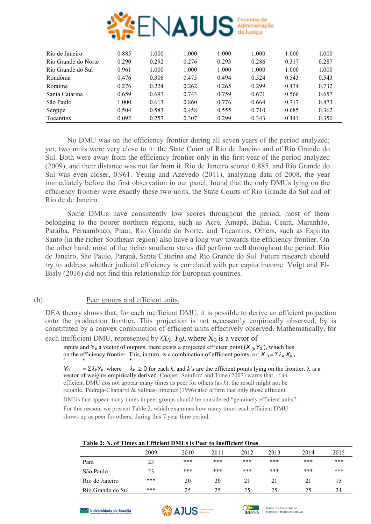

| Rio de Janeiro      | 0.885 | 1.000 | 1.000 | 1.000 | 1.000 | 1.000 | 1.000 |
|---------------------|-------|-------|-------|-------|-------|-------|-------|
| Rio Grande do Norte | 0.290 | 0.292 | 0.276 | 0.293 | 0.286 | 0.317 | 0.287 |
| Rio Grande do Sul   | 0.961 | 1.000 | 1.000 | 1.000 | 1.000 | 1.000 | 1.000 |
| Rondônia            | 0.476 | 0.306 | 0.475 | 0.494 | 0.524 | 0.543 | 0.543 |
| Roraima             | 0.276 | 0.224 | 0.262 | 0.265 | 0.299 | 0.434 | 0.732 |
| Santa Catarina      | 0.659 | 0.697 | 0.743 | 0.759 | 0.671 | 0.566 | 0.657 |
| São Paulo           | 1.000 | 0.613 | 0.860 | 0.776 | 0.664 | 0.717 | 0.873 |
| Sergipe             | 0.504 | 0.583 | 0.458 | 0.555 | 0.710 | 0.685 | 0.362 |
| Tocantins           | 0.092 | 0.257 | 0.307 | 0.299 | 0.343 | 0.441 | 0.350 |

No DMU was on the efficiency frontier during all seven years of the period analyzed; yet, two units were very close to it: the State Court of Rio de Janeiro and of Rio Grande do Sul. Both were away from the efficiency frontier only in the first year of the period analyzed (2009), and their distance was not far from it. Rio de Janeiro scored 0.885, and Rio Grande do Sul was even closer, 0.961. Yeung and Azevedo (2011), analyzing data of 2008, the year immediately before the first observation in our panel, found that the only DMUs lying on the efficiency frontier were exactly these two units, the State Courts of Rio Grande do Sul and of Rio de de Janeiro.

Some DMUs have consistently low scores throughout the period, most of them belonging to the poorer northern regions, such as Acre, Amapá, Bahia, Ceará, Maranhão, Paraíba, Pernambuco, Piauí, Rio Grande do Norte, and Tocantins. Others, such as Espírito Santo (in the richer Southeast region) also have a long way towards the efficiency frontier. On the other hand, most of the richer southern states did perform well throughout the period: Rio de Janeiro, São Paulo, Paraná, Santa Catarina and Rio Grande do Sul. Future research should try to address whether judicial efficiency is correlated with per capita income. Voigt and El-Bialy (2016) did not find this relationship for European countries.

# (b) Peer groups and efficient units.

DEA theory shows that, for each inefficient DMU, it is possible to derive an efficient projection onto the production frontier. This projection is not necessarily empirically observed, by is constituted by a convex combination of efficient units effectively observed. Mathematically, for

each inefficient DMU, represented by  $(X_0, Y_0)$ , where  $X_0$  is a vector of

inputs and  $Y_0$  a vector of outputs, there exists a projected efficient point  $(X_0, Y_0)$ , which lies on the efficiency frontier. This, in turn, is a combination of efficient points, or:  $X_0 = \Sigma \lambda_k X_k$ , ˆ \* \*

 $Y_0$  =  $\Sigma \lambda_k Y_k$  where  $\lambda_k \ge 0$  for each *k*, and *k's* are the efficient points lying on the frontier.  $\lambda$  is a vector of weights empirically derived. Cooper, Seinford and Tone (2007) warns that, if an efficient DMU dos not appear many times as peer for others (as *k*), the result might not be reliable. Pedraja-Chaparro & Salinas-Jiménez (1996) also affirm that only those efficient

DMUs that appear many times in peer groups should be considered "genuinely efficient units". For this reason, we present Table 2, which examines how many times each efficient DMU shows up as peer for others, during this 7 year time period:

| Table 2. IV. OF FINICS AN EMPLOYMENT BY LCCF TO MICHIGATE ONCS |      |      |       |      |      |      |       |  |
|----------------------------------------------------------------|------|------|-------|------|------|------|-------|--|
|                                                                | 2009 | 2010 | 2011  | 2012 | 2013 | 2014 | 2015  |  |
| Pará                                                           | 23   | ***  | ***   | ***  | ***  | ***  | ***   |  |
| São Paulo                                                      | 23   | ***  | $***$ | ***  | ***  | ***  | $***$ |  |
| Rio de Janeiro                                                 | ***  | 20   | 20    | 21   | 21   | 21   |       |  |
| Rio Grande do Sul                                              | ***  | 25   | 25    | 25   | 25   | 25   | 24    |  |

#### **Table 2: N. of Times an Efficient DMUs is Peer to Inefficient Ones**





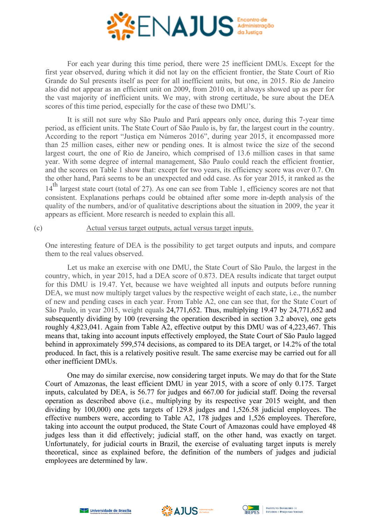

For each year during this time period, there were 25 inefficient DMUs. Except for the first year observed, during which it did not lay on the efficient frontier, the State Court of Rio Grande do Sul presents itself as peer for all inefficient units, but one, in 2015. Rio de Janeiro also did not appear as an efficient unit on 2009, from 2010 on, it always showed up as peer for the vast majority of inefficient units. We may, with strong certitude, be sure about the DEA scores of this time period, especially for the case of these two DMU's.

It is still not sure why São Paulo and Pará appears only once, during this 7-year time period, as efficient units. The State Court of São Paulo is, by far, the largest court in the country. According to the report "Justiça em Números 2016", during year 2015, it encompassed more than 25 million cases, either new or pending ones. It is almost twice the size of the second largest court, the one of Rio de Janeiro, which comprised of 13.6 million cases in that same year. With some degree of internal management, São Paulo could reach the efficient frontier, and the scores on Table 1 show that: except for two years, its efficiency score was over 0.7. On the other hand, Pará seems to be an unexpected and odd case. As for year 2015, it ranked as the 14<sup>th</sup> largest state court (total of 27). As one can see from Table 1, efficiency scores are not that consistent. Explanations perhaps could be obtained after some more in-depth analysis of the quality of the numbers, and/or of qualitative descriptions about the situation in 2009, the year it appears as efficient. More research is needed to explain this all.

### (c) Actual versus target outputs, actual versus target inputs.

One interesting feature of DEA is the possibility to get target outputs and inputs, and compare them to the real values observed.

Let us make an exercise with one DMU, the State Court of São Paulo, the largest in the country, which, in year 2015, had a DEA score of 0.873. DEA results indicate that target output for this DMU is 19.47. Yet, because we have weighted all inputs and outputs before running DEA, we must now multiply target values by the respective weight of each state, i.e., the number of new and pending cases in each year. From Table A2, one can see that, for the State Court of São Paulo, in year 2015, weight equals 24,771,652. Thus, multiplying 19.47 by 24,771,652 and subsequently dividing by 100 (reversing the operation described in section 3.2 above), one gets roughly 4,823,041. Again from Table A2, effective output by this DMU was of 4,223,467. This means that, taking into account inputs effectively employed, the State Court of São Paulo lagged behind in approximately 599,574 decisions, as compared to its DEA target, or 14.2% of the total produced. In fact, this is a relatively positive result. The same exercise may be carried out for all other inefficient DMUs.

One may do similar exercise, now considering target inputs. We may do that for the State Court of Amazonas, the least efficient DMU in year 2015, with a score of only 0.175. Target inputs, calculated by DEA, is 56.77 for judges and 667.00 for judicial staff. Doing the reversal operation as described above (i.e., multiplying by its respective year 2015 weight, and then dividing by 100,000) one gets targets of 129.8 judges and 1,526.58 judicial employees. The effective numbers were, according to Table A2, 178 judges and 1,526 employees. Therefore, taking into account the output produced, the State Court of Amazonas could have employed 48 judges less than it did effectively; judicial staff, on the other hand, was exactly on target. Unfortunately, for judicial courts in Brazil, the exercise of evaluating target inputs is merely theoretical, since as explained before, the definition of the numbers of judges and judicial employees are determined by law.





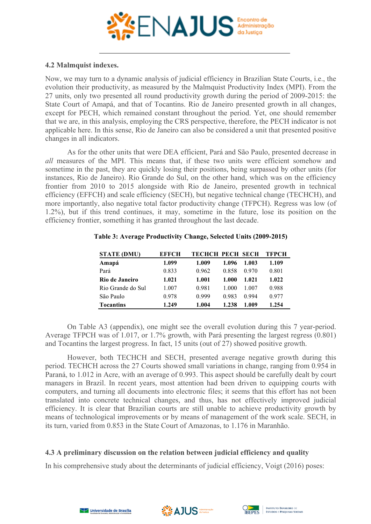

# **4.2 Malmquist indexes.**

Now, we may turn to a dynamic analysis of judicial efficiency in Brazilian State Courts, i.e., the evolution their productivity, as measured by the Malmquist Productivity Index (MPI). From the 27 units, only two presented all round productivity growth during the period of 2009-2015: the State Court of Amapá, and that of Tocantins. Rio de Janeiro presented growth in all changes, except for PECH, which remained constant throughout the period. Yet, one should remember that we are, in this analysis, employing the CRS perspective, therefore, the PECH indicator is not applicable here. In this sense, Rio de Janeiro can also be considered a unit that presented positive changes in all indicators.

As for the other units that were DEA efficient, Pará and São Paulo, presented decrease in *all* measures of the MPI. This means that, if these two units were efficient somehow and sometime in the past, they are quickly losing their positions, being surpassed by other units (for instances, Rio de Janeiro). Rio Grande do Sul, on the other hand, which was on the efficiency frontier from 2010 to 2015 alongside with Rio de Janeiro, presented growth in technical efficiency (EFFCH) and scale efficiency (SECH), but negative technical change (TECHCH), and more importantly, also negative total factor productivity change (TFPCH). Regress was low (of 1.2%), but if this trend continues, it may, sometime in the future, lose its position on the efficiency frontier, something it has granted throughout the last decade.

| <b>STATE (DMU)</b> | <b>EFFCH</b> | ТЕСНСН РЕСН ЅЕСН |       |       | <b>TFPCH</b> |
|--------------------|--------------|------------------|-------|-------|--------------|
| Amapá              | 1.099        | 1.009            | 1.096 | 1.003 | 1.109        |
| Pará               | 0.833        | 0.962            | 0.858 | 0.970 | 0.801        |
| Rio de Janeiro     | 1.021        | 1.001            | 1.000 | 1.021 | 1.022        |
| Rio Grande do Sul  | 1.007        | 0.981            | 1 000 | 1 007 | 0.988        |
| São Paulo          | 0.978        | 0.999            | 0.983 | 0.994 | 0.977        |
| <b>Tocantins</b>   | 1.249        | 1.004            | 1.238 | 1.009 | 1.254        |

### **Table 3: Average Productivity Change, Selected Units (2009-2015)**

On Table A3 (appendix), one might see the overall evolution during this 7 year-period. Average TFPCH was of 1.017, or 1.7% growth, with Pará presenting the largest regress (0.801) and Tocantins the largest progress. In fact, 15 units (out of 27) showed positive growth.

However, both TECHCH and SECH, presented average negative growth during this period. TECHCH across the 27 Courts showed small variations in change, ranging from 0.954 in Paraná, to 1.012 in Acre, with an average of 0.993. This aspect should be carefully dealt by court managers in Brazil. In recent years, most attention had been driven to equipping courts with computers, and turning all documents into electronic files; it seems that this effort has not been translated into concrete technical changes, and thus, has not effectively improved judicial efficiency. It is clear that Brazilian courts are still unable to achieve productivity growth by means of technological improvements or by means of management of the work scale. SECH, in its turn, varied from 0.853 in the State Court of Amazonas, to 1.176 in Maranhão.

# **4.3 A preliminary discussion on the relation between judicial efficiency and quality**

In his comprehensive study about the determinants of judicial efficiency, Voigt (2016) poses:



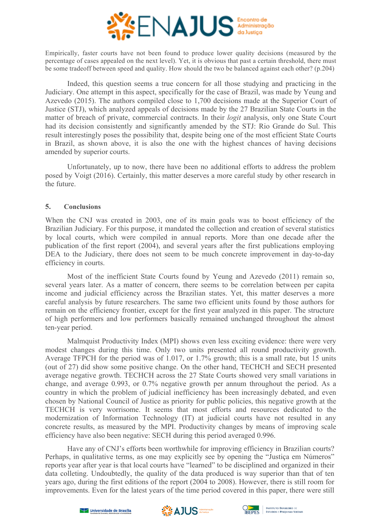

Empirically, faster courts have not been found to produce lower quality decisions (measured by the percentage of cases appealed on the next level). Yet, it is obvious that past a certain threshold, there must be some tradeoff between speed and quality. How should the two be balanced against each other? (p.204)

Indeed, this question seems a true concern for all those studying and practicing in the Judiciary. One attempt in this aspect, specifically for the case of Brazil, was made by Yeung and Azevedo (2015). The authors compiled close to 1,700 decisions made at the Superior Court of Justice (STJ), which analyzed appeals of decisions made by the 27 Brazilian State Courts in the matter of breach of private, commercial contracts. In their *logit* analysis, only one State Court had its decision consistently and significantly amended by the STJ: Rio Grande do Sul. This result interestingly poses the possibility that, despite being one of the most efficient State Courts in Brazil, as shown above, it is also the one with the highest chances of having decisions amended by superior courts.

Unfortunately, up to now, there have been no additional efforts to address the problem posed by Voigt (2016). Certainly, this matter deserves a more careful study by other research in the future.

### **5. Conclusions**

When the CNJ was created in 2003, one of its main goals was to boost efficiency of the Brazilian Judiciary. For this purpose, it mandated the collection and creation of several statistics by local courts, which were compiled in annual reports. More than one decade after the publication of the first report (2004), and several years after the first publications employing DEA to the Judiciary, there does not seem to be much concrete improvement in day-to-day efficiency in courts.

Most of the inefficient State Courts found by Yeung and Azevedo (2011) remain so, several years later. As a matter of concern, there seems to be correlation between per capita income and judicial efficiency across the Brazilian states. Yet, this matter deserves a more careful analysis by future researchers. The same two efficient units found by those authors for remain on the efficiency frontier, except for the first year analyzed in this paper. The structure of high performers and low performers basically remained unchanged throughout the almost ten-year period.

Malmquist Productivity Index (MPI) shows even less exciting evidence: there were very modest changes during this time. Only two units presented all round productivity growth. Average TFPCH for the period was of 1.017, or 1.7% growth; this is a small rate, but 15 units (out of 27) did show some positive change. On the other hand, TECHCH and SECH presented average negative growth. TECHCH across the 27 State Courts showed very small variations in change, and average 0.993, or 0.7% negative growth per annum throughout the period. As a country in which the problem of judicial inefficiency has been increasingly debated, and even chosen by National Council of Justice as priority for public policies, this negative growth at the TECHCH is very worrisome. It seems that most efforts and resources dedicated to the modernization of Information Technology (IT) at judicial courts have not resulted in any concrete results, as measured by the MPI. Productivity changes by means of improving scale efficiency have also been negative: SECH during this period averaged 0.996.

Have any of CNJ's efforts been worthwhile for improving efficiency in Brazilian courts? Perhaps, in qualitative terms, as one may explicitly see by opening the "Justiça em Números" reports year after year is that local courts have "learned" to be disciplined and organized in their data colleting. Undoubtedly, the quality of the data produced is way superior than that of ten years ago, during the first editions of the report (2004 to 2008). However, there is still room for improvements. Even for the latest years of the time period covered in this paper, there were still





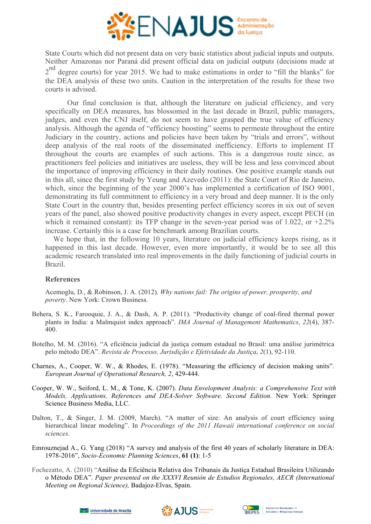

State Courts which did not present data on very basic statistics about judicial inputs and outputs. Neither Amazonas nor Paraná did present official data on judicial outputs (decisions made at 2<sup>nd</sup> degree courts) for year 2015. We had to make estimations in order to "fill the blanks" for the DEA analysis of these two units. Caution in the interpretation of the results for these two courts is advised.

Our final conclusion is that, although the literature on judicial efficiency, and very specifically on DEA measures, has blossomed in the last decade in Brazil, public managers, judges, and even the CNJ itself, do not seem to have grasped the true value of efficiency analysis. Although the agenda of "efficiency boosting" seems to permeate throughout the entire Judiciary in the country, actions and policies have been taken by "trials and errors", without deep analysis of the real roots of the disseminated inefficiency. Efforts to implement IT throughout the courts are examples of such actions. This is a dangerous route since, as practitioners feel policies and initiatives are useless, they will be less and less convinced about the importance of improving efficiency in their daily routines. One positive example stands out in this all, since the first study by Yeung and Azevedo (2011): the State Court of Rio de Janeiro, which, since the beginning of the year 2000's has implemented a certification of ISO 9001. demonstrating its full commitment to efficiency in a very broad and deep manner. It is the only State Court in the country that, besides presenting perfect efficiency scores in six out of seven years of the panel, also showed positive productivity changes in every aspect, except PECH (in which it remained constant): its TFP change in the seven-year period was of 1.022, or  $+2.2\%$ increase. Certainly this is a case for benchmark among Brazilian courts.

We hope that, in the following 10 years, literature on judicial efficiency keeps rising, as it happened in this last decade. However, even more importantly, it would be to see all this academic research translated into real improvements in the daily functioning of judicial courts in Brazil.

# **References**

Acemoglu, D., & Robinson, J. A. (2012). *Why nations fail: The origins of power, prosperity, and poverty*. New York: Crown Business.

- Behera, S. K., Farooquie, J. A., & Dash, A. P. (2011). "Productivity change of coal-fired thermal power plants in India: a Malmquist index approach". *IMA Journal of Management Mathematics*, *22*(4), 387- 400.
- Botelho, M. M. (2016). "A eficiência judicial da justiça comum estadual no Brasil: uma análise jurimétrica pelo método DEA". *Revista de Processo, Jurisdição e Efetividade da Justiça*, *2*(1), 92-110.
- Charnes, A., Cooper, W. W., & Rhodes, E. (1978). "Measuring the efficiency of decision making units". *European Journal of Operational Research, 2*, 429-444.
- Cooper, W. W., Seiford, L. M., & Tone, K. (2007). *Data Envelopment Analysis: a Comprehensive Text with Models, Applications, References and DEA-Solver Software. Second Edition.* New York: Springer Science Business Media, LLC.
- Dalton, T., & Singer, J. M. (2009, March). "A matter of size: An analysis of court efficiency using hierarchical linear modeling". In *Proceedings of the 2011 Hawaii international conference on social sciences*.
- Emrouznejad A., G. Yang (2018) "A survey and analysis of the first 40 years of scholarly literature in DEA: 1978-2016", *Socio-Economic Planning Sciences*, **61 (1)**: 1-5
- Fochezatto, A. (2010) "Análise da Eficiência Relativa dos Tribunais da Justiça Estadual Brasileira Utilizando o Método DEA". *Paper presented on the XXXVI Reunión de Estudios Regionales, AECR (International Meeting on Regional Science),* Badajoz-Elvas, Spain.





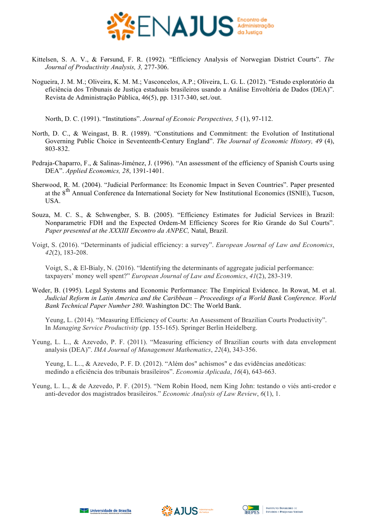

- Kittelsen, S. A. V., & Førsund, F. R. (1992). "Efficiency Analysis of Norwegian District Courts". *The Journal of Productivity Analysis, 3,* 277-306.
- Nogueira, J. M. M.; Oliveira, K. M. M.; Vasconcelos, A.P.; Oliveira, L. G. L. (2012). "Estudo exploratório da eficiência dos Tribunais de Justiça estaduais brasileiros usando a Análise Envoltória de Dados (DEA)". Revista de Administração Pública, 46(5), pp. 1317-340, set./out.

North, D. C. (1991). "Institutions". *Journal of Econoic Perspectives, 5* (1), 97-112.

- North, D. C., & Weingast, B. R. (1989). "Constitutions and Commitment: the Evolution of Institutional Governing Public Choice in Seventeenth-Century England". *The Journal of Economic History, 49* (4), 803-832.
- Pedraja-Chaparro, F., & Salinas-Jiménez, J. (1996). "An assessment of the efficiency of Spanish Courts using DEA". *Applied Economics, 28*, 1391-1401.
- Sherwood, R. M. (2004). "Judicial Performance: Its Economic Impact in Seven Countries". Paper presented at the 8<sup>th</sup> Annual Conference da International Society for New Institutional Economics (ISNIE), Tucson, USA.
- Souza, M. C. S., & Schwengber, S. B. (2005). "Efficiency Estimates for Judicial Services in Brazil: Nonparametric FDH and the Expected Ordem-M Efficiency Scores for Rio Grande do Sul Courts". *Paper presented at the XXXIII Encontro da ANPEC,* Natal, Brazil.
- Voigt, S. (2016). "Determinants of judicial efficiency: a survey". *European Journal of Law and Economics*, *42*(2), 183-208.

Voigt, S., & El-Bialy, N. (2016). "Identifying the determinants of aggregate judicial performance: taxpayers' money well spent?" *European Journal of Law and Economics*, *41*(2), 283-319.

Weder, B. (1995). Legal Systems and Economic Performance: The Empirical Evidence. In Rowat, M. et al. *Judicial Reform in Latin America and the Caribbean – Proceedings of a World Bank Conference. World Bank Technical Paper Number 280*. Washington DC: The World Bank.

Yeung, L. (2014). "Measuring Efficiency of Courts: An Assessment of Brazilian Courts Productivity". In *Managing Service Productivity* (pp. 155-165). Springer Berlin Heidelberg.

Yeung, L. L., & Azevedo, P. F. (2011). "Measuring efficiency of Brazilian courts with data envelopment analysis (DEA)". *IMA Journal of Management Mathematics*, *22*(4), 343-356.

Yeung, L. L.., & Azevedo, P. F. D. (2012). "Além dos" achismos" e das evidências anedóticas: medindo a eficiência dos tribunais brasileiros". *Economia Aplicada*, *16*(4), 643-663.

Yeung, L. L., & de Azevedo, P. F. (2015). "Nem Robin Hood, nem King John: testando o viés anti-credor e anti-devedor dos magistrados brasileiros." *Economic Analysis of Law Review*, *6*(1), 1.





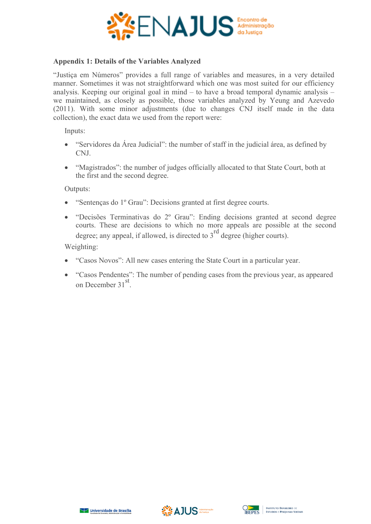

# **Appendix 1: Details of the Variables Analyzed**

"Justiça em Números" provides a full range of variables and measures, in a very detailed manner. Sometimes it was not straightforward which one was most suited for our efficiency analysis. Keeping our original goal in mind – to have a broad temporal dynamic analysis – we maintained, as closely as possible, those variables analyzed by Yeung and Azevedo (2011). With some minor adjustments (due to changes CNJ itself made in the data collection), the exact data we used from the report were:

Inputs:

- "Servidores da Área Judicial": the number of staff in the judicial área, as defined by CNJ.
- "Magistrados": the number of judges officially allocated to that State Court, both at the first and the second degree.

Outputs:

- "Sentenças do 1º Grau": Decisions granted at first degree courts.
- "Decisões Terminativas do 2º Grau": Ending decisions granted at second degree courts. These are decisions to which no more appeals are possible at the second degree: any appeal, if allowed, is directed to  $3<sup>rd</sup>$  degree (higher courts).

Weighting:

- "Casos Novos": All new cases entering the State Court in a particular year.
- "Casos Pendentes": The number of pending cases from the previous year, as appeared on December 31<sup>st</sup>.





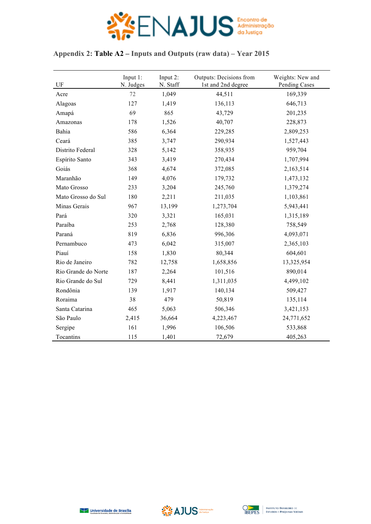

# **Appendix 2: Table A2 – Inputs and Outputs (raw data) – Year 2015**

| $\mathbf{U}\mathbf{F}$ | Input $1$ :<br>N. Judges | Input 2:<br>N. Staff | <b>Outputs: Decisions from</b><br>1st and 2nd degree | Weights: New and<br>Pending Cases |
|------------------------|--------------------------|----------------------|------------------------------------------------------|-----------------------------------|
| Acre                   | 72                       | 1,049                | 44,511                                               | 169,339                           |
| Alagoas                | 127                      | 1,419                | 136,113                                              | 646,713                           |
| Amapá                  | 69                       | 865                  | 43,729                                               | 201,235                           |
| Amazonas               | 178                      | 1,526                | 40,707                                               | 228,873                           |
| Bahia                  | 586                      | 6,364                | 229,285                                              | 2,809,253                         |
| Ceará                  | 385                      | 3,747                | 290,934                                              | 1,527,443                         |
| Distrito Federal       | 328                      | 5,142                | 358,935                                              | 959,704                           |
| Espírito Santo         | 343                      | 3,419                | 270,434                                              | 1,707,994                         |
| Goiás                  | 368                      | 4,674                | 372,085                                              | 2,163,514                         |
| Maranhão               | 149                      | 4,076                | 179,732                                              | 1,473,132                         |
| Mato Grosso            | 233                      | 3,204                | 245,760                                              | 1,379,274                         |
| Mato Grosso do Sul     | 180                      | 2,211                | 211,035                                              | 1,103,861                         |
| Minas Gerais           | 967                      | 13,199               | 1,273,704                                            | 5,943,441                         |
| Pará                   | 320                      | 3,321                | 165,031                                              | 1,315,189                         |
| Paraíba                | 253                      | 2,768                | 128,380                                              | 758,549                           |
| Paraná                 | 819                      | 6,836                | 996,306                                              | 4,093,071                         |
| Pernambuco             | 473                      | 6,042                | 315,007                                              | 2,365,103                         |
| Piauí                  | 158                      | 1,830                | 80,344                                               | 604,601                           |
| Rio de Janeiro         | 782                      | 12,758               | 1,658,856                                            | 13,325,954                        |
| Rio Grande do Norte    | 187                      | 2,264                | 101,516                                              | 890,014                           |
| Rio Grande do Sul      | 729                      | 8,441                | 1,311,035                                            | 4,499,102                         |
| Rondônia               | 139                      | 1,917                | 140,134                                              | 509,427                           |
| Roraima                | 38                       | 479                  | 50,819                                               | 135,114                           |
| Santa Catarina         | 465                      | 5,063                | 506,346                                              | 3,421,153                         |
| São Paulo              | 2,415                    | 36,664               | 4,223,467                                            | 24,771,652                        |
| Sergipe                | 161                      | 1,996                | 106,506                                              | 533,868                           |
| Tocantins              | 115                      | 1,401                | 72,679                                               | 405,263                           |



$$
\mathbf{AJUS}^{\text{admissible}}
$$